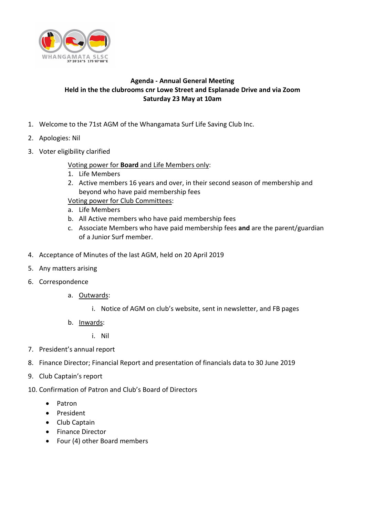

## **Agenda - Annual General Meeting Held in the the clubrooms cnr Lowe Street and Esplanade Drive and via Zoom Saturday 23 May at 10am**

- 1. Welcome to the 71st AGM of the Whangamata Surf Life Saving Club Inc.
- 2. Apologies: Nil
- 3. Voter eligibility clarified

Voting power for **Board** and Life Members only:

- 1. Life Members
- 2. Active members 16 years and over, in their second season of membership and beyond who have paid membership fees

Voting power for Club Committees:

- a. Life Members
- b. All Active members who have paid membership fees
- c. Associate Members who have paid membership fees **and** are the parent/guardian of a Junior Surf member.
- 4. Acceptance of Minutes of the last AGM, held on 20 April 2019
- 5. Any matters arising
- 6. Correspondence
	- a. Outwards:
		- i. Notice of AGM on club's website, sent in newsletter, and FB pages
	- b. Inwards:
		- i. Nil
- 7. President's annual report
- 8. Finance Director; Financial Report and presentation of financials data to 30 June 2019
- 9. Club Captain's report
- 10. Confirmation of Patron and Club's Board of Directors
	- Patron
	- President
	- Club Captain
	- Finance Director
	- Four (4) other Board members